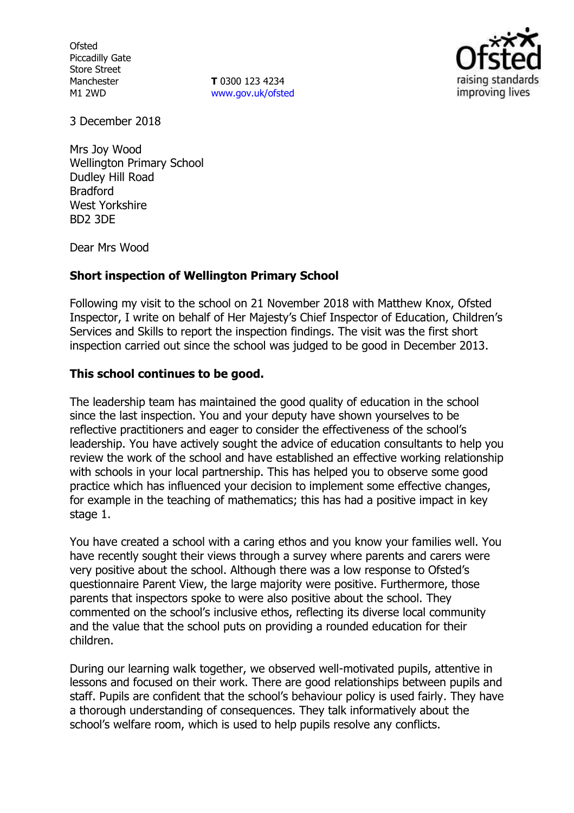**Ofsted** Piccadilly Gate Store Street Manchester M1 2WD

**T** 0300 123 4234 www.gov.uk/ofsted



3 December 2018

Mrs Joy Wood Wellington Primary School Dudley Hill Road Bradford West Yorkshire BD2 3DE

Dear Mrs Wood

# **Short inspection of Wellington Primary School**

Following my visit to the school on 21 November 2018 with Matthew Knox, Ofsted Inspector, I write on behalf of Her Majesty's Chief Inspector of Education, Children's Services and Skills to report the inspection findings. The visit was the first short inspection carried out since the school was judged to be good in December 2013.

## **This school continues to be good.**

The leadership team has maintained the good quality of education in the school since the last inspection. You and your deputy have shown yourselves to be reflective practitioners and eager to consider the effectiveness of the school's leadership. You have actively sought the advice of education consultants to help you review the work of the school and have established an effective working relationship with schools in your local partnership. This has helped you to observe some good practice which has influenced your decision to implement some effective changes, for example in the teaching of mathematics; this has had a positive impact in key stage 1.

You have created a school with a caring ethos and you know your families well. You have recently sought their views through a survey where parents and carers were very positive about the school. Although there was a low response to Ofsted's questionnaire Parent View, the large majority were positive. Furthermore, those parents that inspectors spoke to were also positive about the school. They commented on the school's inclusive ethos, reflecting its diverse local community and the value that the school puts on providing a rounded education for their children.

During our learning walk together, we observed well-motivated pupils, attentive in lessons and focused on their work. There are good relationships between pupils and staff. Pupils are confident that the school's behaviour policy is used fairly. They have a thorough understanding of consequences. They talk informatively about the school's welfare room, which is used to help pupils resolve any conflicts.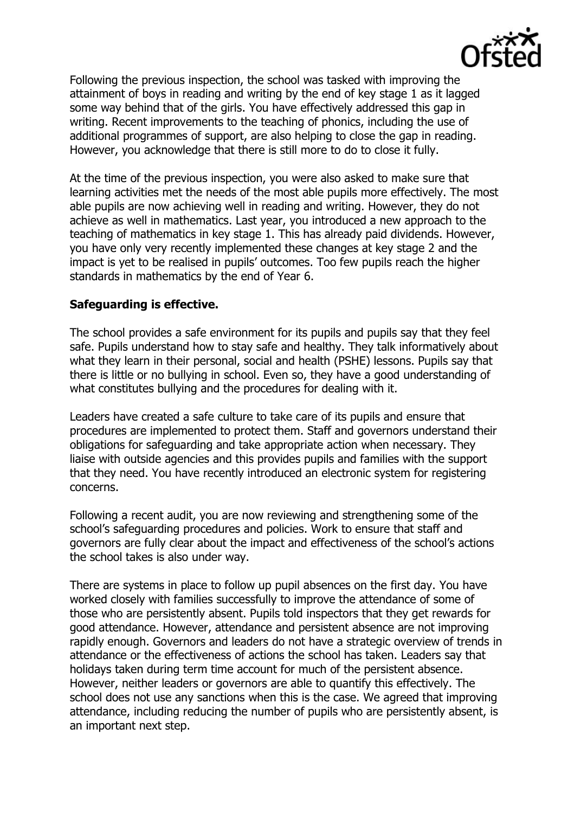

Following the previous inspection, the school was tasked with improving the attainment of boys in reading and writing by the end of key stage 1 as it lagged some way behind that of the girls. You have effectively addressed this gap in writing. Recent improvements to the teaching of phonics, including the use of additional programmes of support, are also helping to close the gap in reading. However, you acknowledge that there is still more to do to close it fully.

At the time of the previous inspection, you were also asked to make sure that learning activities met the needs of the most able pupils more effectively. The most able pupils are now achieving well in reading and writing. However, they do not achieve as well in mathematics. Last year, you introduced a new approach to the teaching of mathematics in key stage 1. This has already paid dividends. However, you have only very recently implemented these changes at key stage 2 and the impact is yet to be realised in pupils' outcomes. Too few pupils reach the higher standards in mathematics by the end of Year 6.

# **Safeguarding is effective.**

The school provides a safe environment for its pupils and pupils say that they feel safe. Pupils understand how to stay safe and healthy. They talk informatively about what they learn in their personal, social and health (PSHE) lessons. Pupils say that there is little or no bullying in school. Even so, they have a good understanding of what constitutes bullying and the procedures for dealing with it.

Leaders have created a safe culture to take care of its pupils and ensure that procedures are implemented to protect them. Staff and governors understand their obligations for safeguarding and take appropriate action when necessary. They liaise with outside agencies and this provides pupils and families with the support that they need. You have recently introduced an electronic system for registering concerns.

Following a recent audit, you are now reviewing and strengthening some of the school's safeguarding procedures and policies. Work to ensure that staff and governors are fully clear about the impact and effectiveness of the school's actions the school takes is also under way.

There are systems in place to follow up pupil absences on the first day. You have worked closely with families successfully to improve the attendance of some of those who are persistently absent. Pupils told inspectors that they get rewards for good attendance. However, attendance and persistent absence are not improving rapidly enough. Governors and leaders do not have a strategic overview of trends in attendance or the effectiveness of actions the school has taken. Leaders say that holidays taken during term time account for much of the persistent absence. However, neither leaders or governors are able to quantify this effectively. The school does not use any sanctions when this is the case. We agreed that improving attendance, including reducing the number of pupils who are persistently absent, is an important next step.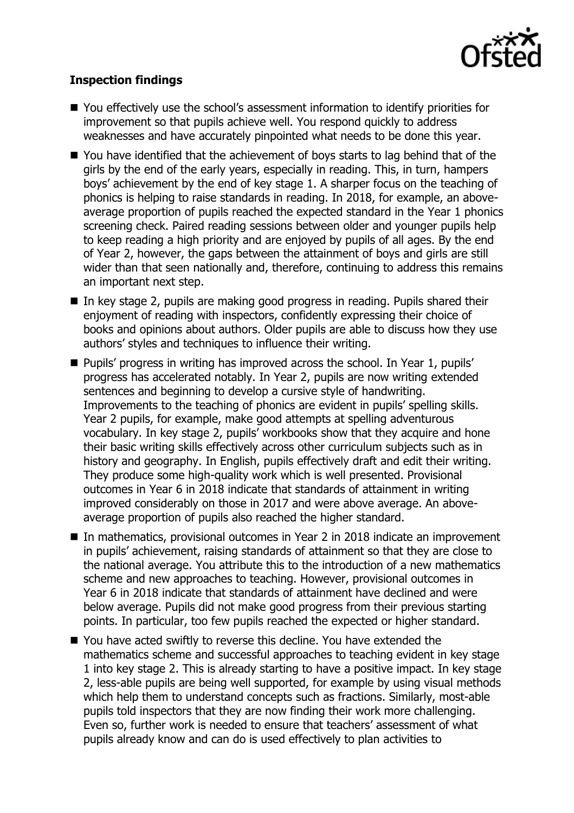

# **Inspection findings**

- You effectively use the school's assessment information to identify priorities for improvement so that pupils achieve well. You respond quickly to address weaknesses and have accurately pinpointed what needs to be done this year.
- You have identified that the achievement of boys starts to lag behind that of the girls by the end of the early years, especially in reading. This, in turn, hampers boys' achievement by the end of key stage 1. A sharper focus on the teaching of phonics is helping to raise standards in reading. In 2018, for example, an aboveaverage proportion of pupils reached the expected standard in the Year 1 phonics screening check. Paired reading sessions between older and younger pupils help to keep reading a high priority and are enjoyed by pupils of all ages. By the end of Year 2, however, the gaps between the attainment of boys and girls are still wider than that seen nationally and, therefore, continuing to address this remains an important next step.
- In key stage 2, pupils are making good progress in reading. Pupils shared their enjoyment of reading with inspectors, confidently expressing their choice of books and opinions about authors. Older pupils are able to discuss how they use authors' styles and techniques to influence their writing.
- **Pupils' progress in writing has improved across the school. In Year 1, pupils'** progress has accelerated notably. In Year 2, pupils are now writing extended sentences and beginning to develop a cursive style of handwriting. Improvements to the teaching of phonics are evident in pupils' spelling skills. Year 2 pupils, for example, make good attempts at spelling adventurous vocabulary. In key stage 2, pupils' workbooks show that they acquire and hone their basic writing skills effectively across other curriculum subjects such as in history and geography. In English, pupils effectively draft and edit their writing. They produce some high-quality work which is well presented. Provisional outcomes in Year 6 in 2018 indicate that standards of attainment in writing improved considerably on those in 2017 and were above average. An aboveaverage proportion of pupils also reached the higher standard.
- In mathematics, provisional outcomes in Year 2 in 2018 indicate an improvement in pupils' achievement, raising standards of attainment so that they are close to the national average. You attribute this to the introduction of a new mathematics scheme and new approaches to teaching. However, provisional outcomes in Year 6 in 2018 indicate that standards of attainment have declined and were below average. Pupils did not make good progress from their previous starting points. In particular, too few pupils reached the expected or higher standard.
- You have acted swiftly to reverse this decline. You have extended the mathematics scheme and successful approaches to teaching evident in key stage 1 into key stage 2. This is already starting to have a positive impact. In key stage 2, less-able pupils are being well supported, for example by using visual methods which help them to understand concepts such as fractions. Similarly, most-able pupils told inspectors that they are now finding their work more challenging. Even so, further work is needed to ensure that teachers' assessment of what pupils already know and can do is used effectively to plan activities to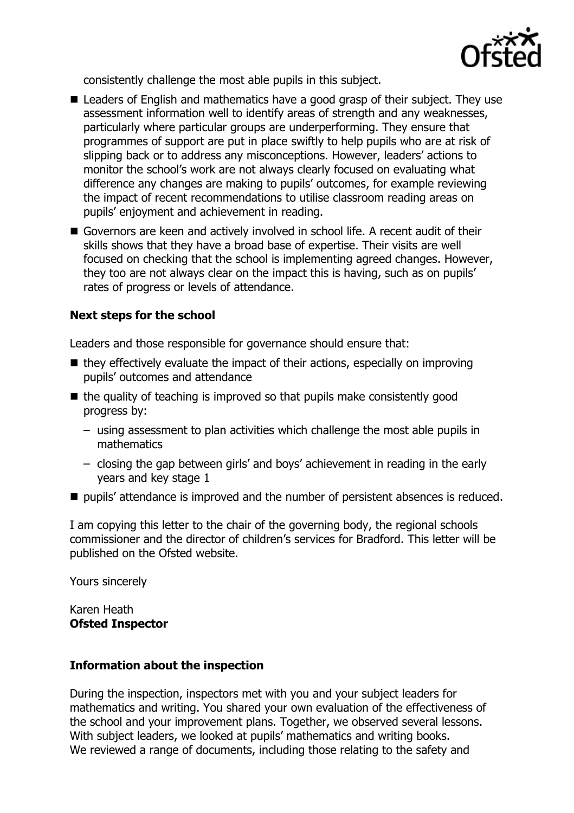

consistently challenge the most able pupils in this subject.

- Leaders of English and mathematics have a good grasp of their subject. They use assessment information well to identify areas of strength and any weaknesses, particularly where particular groups are underperforming. They ensure that programmes of support are put in place swiftly to help pupils who are at risk of slipping back or to address any misconceptions. However, leaders' actions to monitor the school's work are not always clearly focused on evaluating what difference any changes are making to pupils' outcomes, for example reviewing the impact of recent recommendations to utilise classroom reading areas on pupils' enjoyment and achievement in reading.
- Governors are keen and actively involved in school life. A recent audit of their skills shows that they have a broad base of expertise. Their visits are well focused on checking that the school is implementing agreed changes. However, they too are not always clear on the impact this is having, such as on pupils' rates of progress or levels of attendance.

# **Next steps for the school**

Leaders and those responsible for governance should ensure that:

- $\blacksquare$  they effectively evaluate the impact of their actions, especially on improving pupils' outcomes and attendance
- $\blacksquare$  the quality of teaching is improved so that pupils make consistently good progress by:
	- using assessment to plan activities which challenge the most able pupils in mathematics
	- closing the gap between girls' and boys' achievement in reading in the early years and key stage 1
- $\blacksquare$  pupils' attendance is improved and the number of persistent absences is reduced.

I am copying this letter to the chair of the governing body, the regional schools commissioner and the director of children's services for Bradford. This letter will be published on the Ofsted website.

Yours sincerely

Karen Heath **Ofsted Inspector**

## **Information about the inspection**

During the inspection, inspectors met with you and your subject leaders for mathematics and writing. You shared your own evaluation of the effectiveness of the school and your improvement plans. Together, we observed several lessons. With subject leaders, we looked at pupils' mathematics and writing books. We reviewed a range of documents, including those relating to the safety and